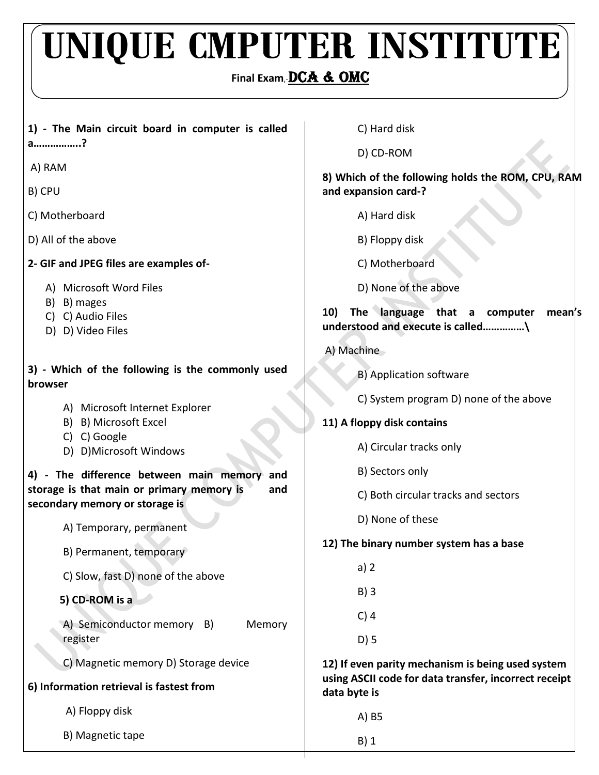## UNIQUE CMPUTER INSTITUTE

## **Final Exam**,-DCA & OMC

| 1) - The Main circuit board in computer is called                                  | C) Hard disk                                                                      |
|------------------------------------------------------------------------------------|-----------------------------------------------------------------------------------|
| a?                                                                                 | D) CD-ROM                                                                         |
| A) RAM                                                                             | 8) Which of the following holds the ROM, CPU, RAM                                 |
| B) CPU                                                                             | and expansion card-?                                                              |
| C) Motherboard                                                                     | A) Hard disk                                                                      |
| D) All of the above                                                                | B) Floppy disk                                                                    |
| 2- GIF and JPEG files are examples of-                                             | C) Motherboard                                                                    |
| A) Microsoft Word Files                                                            | D) None of the above                                                              |
| B) B) mages<br>C) C) Audio Files<br>D) D) Video Files                              | The language that a computer<br>10)<br>mean's<br>understood and execute is called |
|                                                                                    | A) Machine                                                                        |
| 3) - Which of the following is the commonly used<br>browser                        | B) Application software                                                           |
|                                                                                    | C) System program D) none of the above                                            |
| A) Microsoft Internet Explorer<br>B) B) Microsoft Excel                            | 11) A floppy disk contains                                                        |
| C) C) Google<br>D) D)Microsoft Windows                                             | A) Circular tracks only                                                           |
| 4) - The difference between main memory<br>and                                     | B) Sectors only                                                                   |
| storage is that main or primary memory is<br>and<br>secondary memory or storage is | C) Both circular tracks and sectors                                               |
| A) Temporary, permanent                                                            | D) None of these                                                                  |
| B) Permanent, temporary                                                            | 12) The binary number system has a base                                           |
| C) Slow, fast D) none of the above                                                 | a) 2                                                                              |
| 5) CD-ROM is a                                                                     | $B)$ 3                                                                            |
| A) Semiconductor memory B)<br>Memory                                               | $C)$ 4                                                                            |
| register                                                                           | $D)$ 5                                                                            |
| C) Magnetic memory D) Storage device                                               | 12) If even parity mechanism is being used system                                 |
| 6) Information retrieval is fastest from                                           | using ASCII code for data transfer, incorrect receipt<br>data byte is             |
| A) Floppy disk                                                                     | A) B5                                                                             |
| B) Magnetic tape                                                                   | $B)$ 1                                                                            |